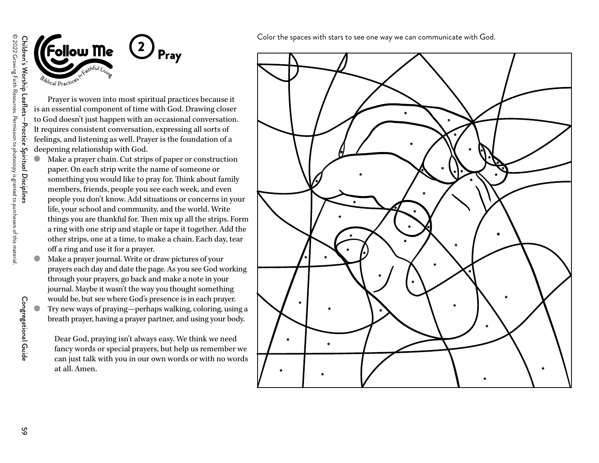



Prayer is woven into most spiritual practices because it is an essential component of time with God. Drawing closer to God doesn't just happen with an occasional conversation. It requires consistent conversation, expressing all sorts of feelings, and listening as well. Prayer is the foundation of a deepening relationship with God.

- Make a prayer chain. Cut strips of paper or construction paper. On each strip write the name of someone or something you would like to pray for. Think about family members, friends, people you see each week, and even people you don't know. Add situations or concerns in your life, your school and community, and the world. Write things you are thankful for. Then mix up all the strips. Form a ring with one strip and staple or tape it together. Add the other strips, one at a time, to make a chain. Each day, tear off a ring and use it for a prayer.
- Make a prayer journal. Write or draw pictures of your prayers each day and date the page. As you see God working through your prayers, go back and make a note in your journal. Maybe it wasn't the way you thought something would be, but see where God's presence is in each prayer. Try new ways of praying—perhaps walking, coloring, using a breath prayer, having a prayer partner, and using your body.

Dear God, praying isn't always easy. We think we need fancy words or special prayers, but help us remember we can just talk with you in our own words or with no words at all. Amen.

Color the spaces with stars to see one way we can communicate with God.



Congregational Guide

Congregational Guide